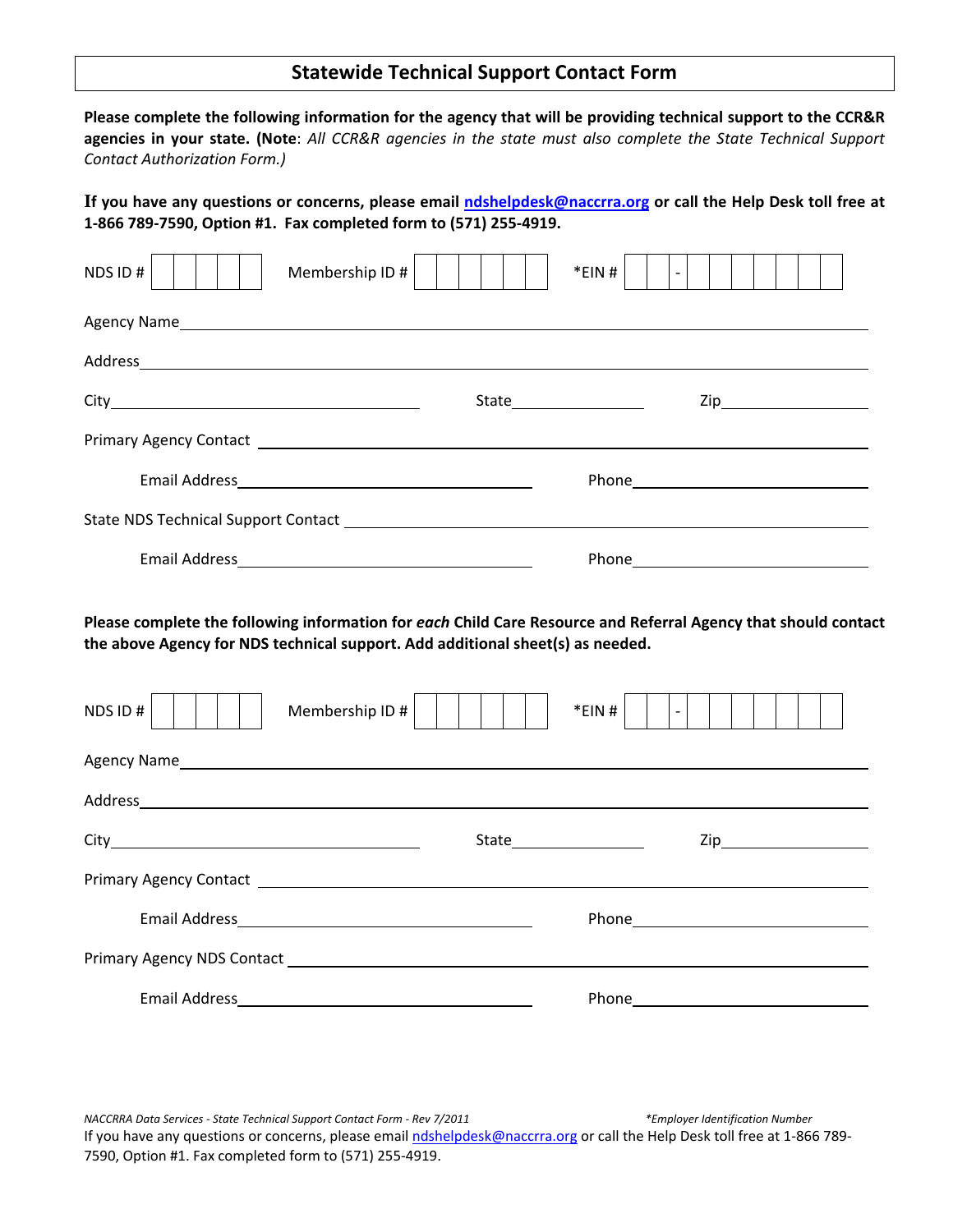## **Statewide Technical Support Contact Form**

Please complete the following information for the agency that will be providing technical support to the CCR&R agencies in your state. (Note: All CCR&R agencies in the state must also complete the State Technical Support *Contact Authorization Form.)*

If you have any questions or concerns, please email ndshelpdesk@naccrra.org or call the Help Desk toll free at **1‐866 789‐7590, Option #1. Fax completed form to (571) 255‐4919.**

| NDS ID#<br>Membership ID # |                      | *EIN#<br>$\overline{\phantom{a}}$ |
|----------------------------|----------------------|-----------------------------------|
|                            |                      |                                   |
|                            |                      |                                   |
|                            | State ______________ |                                   |
|                            |                      |                                   |
|                            |                      |                                   |
|                            |                      |                                   |
|                            |                      |                                   |

**Please complete the following information for** *each* **Child Care Resource and Referral Agency that should contact the above Agency for NDS technical support. Add additional sheet(s) as needed.**

| Membership ID #<br>NDS ID#                      |                         | *EIN#<br>$\overline{\phantom{a}}$ |
|-------------------------------------------------|-------------------------|-----------------------------------|
|                                                 |                         |                                   |
|                                                 |                         |                                   |
|                                                 | State__________________ |                                   |
|                                                 |                         |                                   |
|                                                 |                         |                                   |
| Primary Agency NDS Contact <b>Exercise 2018</b> |                         |                                   |
|                                                 |                         |                                   |

*NACCRRA Data Services ‐ State Technical Support Contact Form ‐ Rev 7/2011 \*Employer Identification Number* If you have any questions or concerns, please email ndshelpdesk@naccrra.org or call the Help Desk toll free at 1‐866 789‐ 7590, Option #1. Fax completed form to (571) 255‐4919.